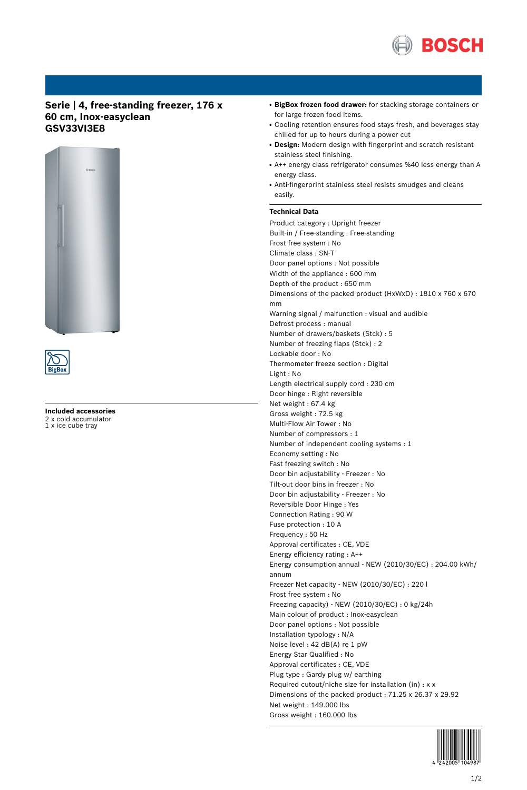

## **Serie | 4, free-standing freezer, 176 x 60 cm, Inox-easyclean GSV33VI3E8**





**Included accessories** 2 x cold accumulator 1 x ice cube tray

- **BigBox frozen food drawer:** for stacking storage containers or for large frozen food items.
- Cooling retention ensures food stays fresh, and beverages stay chilled for up to hours during a power cut
- **Design:** Modern design with fingerprint and scratch resistant stainless steel finishing.
- A++ energy class refrigerator consumes %40 less energy than A energy class.
- Anti-fingerprint stainless steel resists smudges and cleans easily.

## **Technical Data**

Product category : Upright freezer Built-in / Free-standing : Free-standing Frost free system : No Climate class : SN-T Door panel options : Not possible Width of the appliance : 600 mm Depth of the product : 650 mm Dimensions of the packed product (HxWxD) : 1810 x 760 x 670 mm Warning signal / malfunction : visual and audible Defrost process : manual Number of drawers/baskets (Stck) : 5 Number of freezing flaps (Stck) : 2 Lockable door : No Thermometer freeze section : Digital Light : No Length electrical supply cord : 230 cm Door hinge : Right reversible Net weight : 67.4 kg Gross weight : 72.5 kg Multi-Flow Air Tower : No Number of compressors : 1 Number of independent cooling systems : 1 Economy setting : No Fast freezing switch : No Door bin adjustability - Freezer : No Tilt-out door bins in freezer : No Door bin adjustability - Freezer : No Reversible Door Hinge : Yes Connection Rating : 90 W Fuse protection : 10 A Frequency : 50 Hz Approval certificates : CE, VDE Energy efficiency rating : A++ Energy consumption annual - NEW (2010/30/EC) : 204.00 kWh/ annum Freezer Net capacity - NEW (2010/30/EC) : 220 l Frost free system : No Freezing capacity) - NEW (2010/30/EC) : 0 kg/24h Main colour of product : Inox-easyclean Door panel options : Not possible Installation typology : N/A Noise level : 42 dB(A) re 1 pW Energy Star Qualified : No Approval certificates : CE, VDE Plug type : Gardy plug w/ earthing Required cutout/niche size for installation (in) : x x Dimensions of the packed product : 71.25 x 26.37 x 29.92 Net weight : 149.000 lbs Gross weight : 160.000 lbs